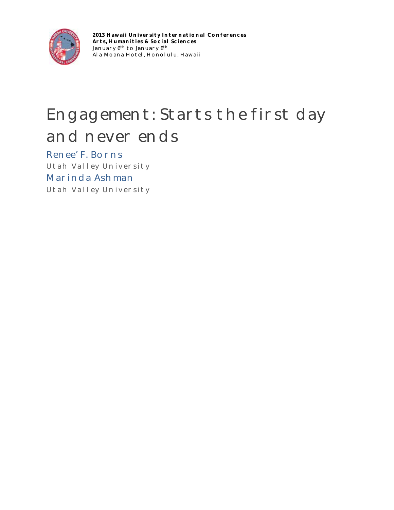

**2013 Hawaii University International Conferences Arts, Humanities & Social Sciences** January  $6^{\rm th}$  to January  $8^{\rm th}$ Ala Moana Hotel, Honolulu, Hawaii

## Engagement: Starts the first day and never ends

Renee' F. Borns Utah Valley University Marinda Ashman Utah Valley University